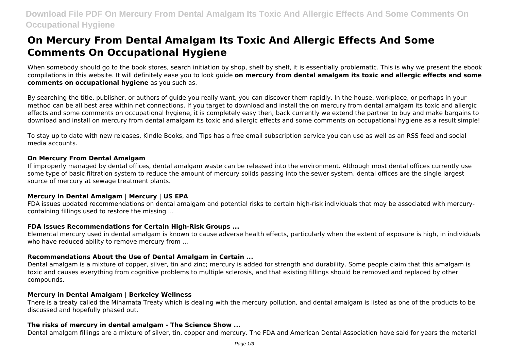**Download File PDF On Mercury From Dental Amalgam Its Toxic And Allergic Effects And Some Comments On Occupational Hygiene**

# **On Mercury From Dental Amalgam Its Toxic And Allergic Effects And Some Comments On Occupational Hygiene**

When somebody should go to the book stores, search initiation by shop, shelf by shelf, it is essentially problematic. This is why we present the ebook compilations in this website. It will definitely ease you to look guide **on mercury from dental amalgam its toxic and allergic effects and some comments on occupational hygiene** as you such as.

By searching the title, publisher, or authors of guide you really want, you can discover them rapidly. In the house, workplace, or perhaps in your method can be all best area within net connections. If you target to download and install the on mercury from dental amalgam its toxic and allergic effects and some comments on occupational hygiene, it is completely easy then, back currently we extend the partner to buy and make bargains to download and install on mercury from dental amalgam its toxic and allergic effects and some comments on occupational hygiene as a result simple!

To stay up to date with new releases, Kindle Books, and Tips has a free email subscription service you can use as well as an RSS feed and social media accounts.

#### **On Mercury From Dental Amalgam**

If improperly managed by dental offices, dental amalgam waste can be released into the environment. Although most dental offices currently use some type of basic filtration system to reduce the amount of mercury solids passing into the sewer system, dental offices are the single largest source of mercury at sewage treatment plants.

# **Mercury in Dental Amalgam | Mercury | US EPA**

FDA issues updated recommendations on dental amalgam and potential risks to certain high-risk individuals that may be associated with mercurycontaining fillings used to restore the missing ...

# **FDA Issues Recommendations for Certain High-Risk Groups ...**

Elemental mercury used in dental amalgam is known to cause adverse health effects, particularly when the extent of exposure is high, in individuals who have reduced ability to remove mercury from ...

# **Recommendations About the Use of Dental Amalgam in Certain ...**

Dental amalgam is a mixture of copper, silver, tin and zinc; mercury is added for strength and durability. Some people claim that this amalgam is toxic and causes everything from cognitive problems to multiple sclerosis, and that existing fillings should be removed and replaced by other compounds.

#### **Mercury in Dental Amalgam | Berkeley Wellness**

There is a treaty called the Minamata Treaty which is dealing with the mercury pollution, and dental amalgam is listed as one of the products to be discussed and hopefully phased out.

# **The risks of mercury in dental amalgam - The Science Show ...**

Dental amalgam fillings are a mixture of silver, tin, copper and mercury. The FDA and American Dental Association have said for years the material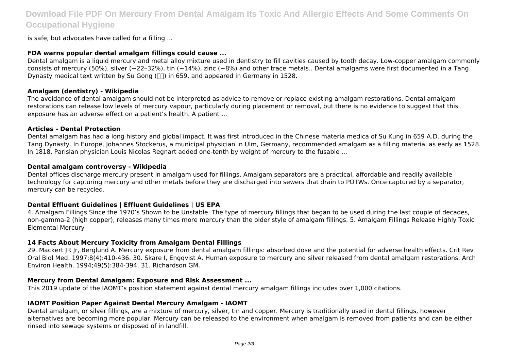# **Download File PDF On Mercury From Dental Amalgam Its Toxic And Allergic Effects And Some Comments On Occupational Hygiene**

is safe, but advocates have called for a filling ...

# **FDA warns popular dental amalgam fillings could cause ...**

Dental amalgam is a liquid mercury and metal alloy mixture used in dentistry to fill cavities caused by tooth decay. Low-copper amalgam commonly consists of mercury (50%), silver (~22-32%), tin (~14%), zinc (~8%) and other trace metals.. Dental amalgams were first documented in a Tang Dynasty medical text written by Su Gong  $(\Box \Box)$  in 659, and appeared in Germany in 1528.

# **Amalgam (dentistry) - Wikipedia**

The avoidance of dental amalgam should not be interpreted as advice to remove or replace existing amalgam restorations. Dental amalgam restorations can release low levels of mercury vapour, particularly during placement or removal, but there is no evidence to suggest that this exposure has an adverse effect on a patient's health. A patient ...

# **Articles - Dental Protection**

Dental amalgam has had a long history and global impact. It was first introduced in the Chinese materia medica of Su Kung in 659 A.D. during the Tang Dynasty. In Europe, Johannes Stockerus, a municipal physician in Ulm, Germany, recommended amalgam as a filling material as early as 1528. In 1818, Parisian physician Louis Nicolas Regnart added one-tenth by weight of mercury to the fusable ...

# **Dental amalgam controversy - Wikipedia**

Dental offices discharge mercury present in amalgam used for fillings. Amalgam separators are a practical, affordable and readily available technology for capturing mercury and other metals before they are discharged into sewers that drain to POTWs. Once captured by a separator, mercury can be recycled.

# **Dental Effluent Guidelines | Effluent Guidelines | US EPA**

4. Amalgam Fillings Since the 1970's Shown to be Unstable. The type of mercury fillings that began to be used during the last couple of decades, non-gamma-2 (high copper), releases many times more mercury than the older style of amalgam fillings. 5. Amalgam Fillings Release Highly Toxic Elemental Mercury

# **14 Facts About Mercury Toxicity from Amalgam Dental Fillings**

29. Mackert JR Jr, Berglund A. Mercury exposure from dental amalgam fillings: absorbed dose and the potential for adverse health effects. Crit Rev Oral Biol Med. 1997;8(4):410-436. 30. Skare I, Engqvist A. Human exposure to mercury and silver released from dental amalgam restorations. Arch Environ Health. 1994;49(5):384-394. 31. Richardson GM.

# **Mercury from Dental Amalgam: Exposure and Risk Assessment ...**

This 2019 update of the IAOMT's position statement against dental mercury amalgam fillings includes over 1,000 citations.

# **IAOMT Position Paper Against Dental Mercury Amalgam - IAOMT**

Dental amalgam, or silver fillings, are a mixture of mercury, silver, tin and copper. Mercury is traditionally used in dental fillings, however alternatives are becoming more popular. Mercury can be released to the environment when amalgam is removed from patients and can be either rinsed into sewage systems or disposed of in landfill.